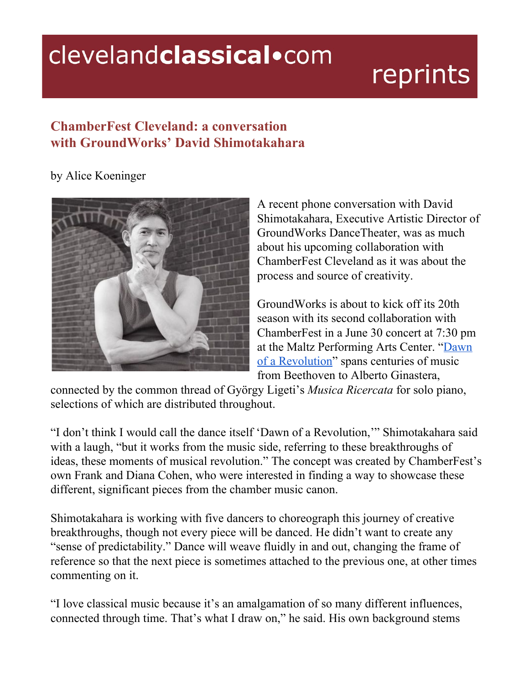## clevelandclassical.com

## reprints

## **ChamberFest Cleveland: a conversation with GroundWorks' David Shimotakahara**

## by Alice Koeninger



A recent phone conversation with David Shimotakahara, Executive Artistic Director of GroundWorks DanceTheater, was as much about his upcoming collaboration with ChamberFest Cleveland as it was about the process and source of creativity.

GroundWorks is about to kick off its 20th season with its second collaboration with ChamberFest in a June 30 concert at 7:30 pm at the Maltz Performing Arts Center. "[Dawn](http://chamberfestcleveland.com/events/dawn-revolution/) of a [Revolution"](http://chamberfestcleveland.com/events/dawn-revolution/) spans centuries of music from Beethoven to Alberto Ginastera,

connected by the common thread of György Ligeti's *Musica Ricercata* for solo piano, selections of which are distributed throughout.

"I don't think I would call the dance itself 'Dawn of a Revolution,'" Shimotakahara said with a laugh, "but it works from the music side, referring to these breakthroughs of ideas, these moments of musical revolution." The concept was created by ChamberFest's own Frank and Diana Cohen, who were interested in finding a way to showcase these different, significant pieces from the chamber music canon.

Shimotakahara is working with five dancers to choreograph this journey of creative breakthroughs, though not every piece will be danced. He didn't want to create any "sense of predictability." Dance will weave fluidly in and out, changing the frame of reference so that the next piece is sometimes attached to the previous one, at other times commenting on it.

"I love classical music because it's an amalgamation of so many different influences, connected through time. That's what I draw on," he said. His own background stems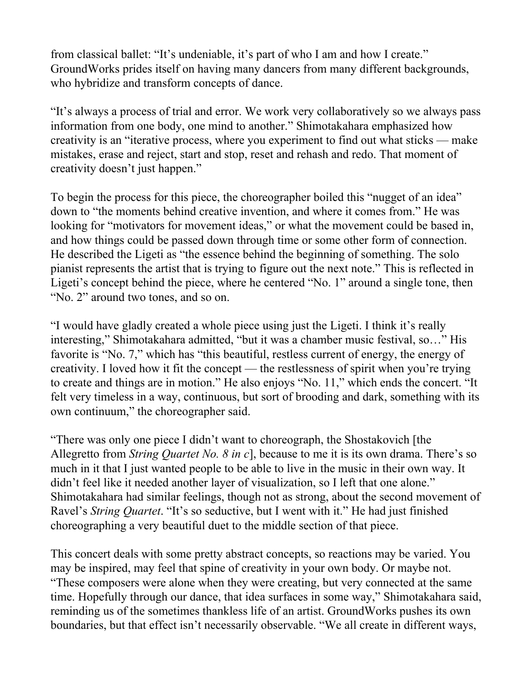from classical ballet: "It's undeniable, it's part of who I am and how I create." GroundWorks prides itself on having many dancers from many different backgrounds, who hybridize and transform concepts of dance.

"It's always a process of trial and error. We work very collaboratively so we always pass information from one body, one mind to another." Shimotakahara emphasized how creativity is an "iterative process, where you experiment to find out what sticks — make mistakes, erase and reject, start and stop, reset and rehash and redo. That moment of creativity doesn't just happen."

To begin the process for this piece, the choreographer boiled this "nugget of an idea" down to "the moments behind creative invention, and where it comes from." He was looking for "motivators for movement ideas," or what the movement could be based in, and how things could be passed down through time or some other form of connection. He described the Ligeti as "the essence behind the beginning of something. The solo pianist represents the artist that is trying to figure out the next note." This is reflected in Ligeti's concept behind the piece, where he centered "No. 1" around a single tone, then "No. 2" around two tones, and so on.

"I would have gladly created a whole piece using just the Ligeti. I think it's really interesting," Shimotakahara admitted, "but it was a chamber music festival, so…" His favorite is "No. 7," which has "this beautiful, restless current of energy, the energy of creativity. I loved how it fit the concept — the restlessness of spirit when you're trying to create and things are in motion." He also enjoys "No. 11," which ends the concert. "It felt very timeless in a way, continuous, but sort of brooding and dark, something with its own continuum," the choreographer said.

"There was only one piece I didn't want to choreograph, the Shostakovich [the Allegretto from *String Quartet No. 8 in c*], because to me it is its own drama. There's so much in it that I just wanted people to be able to live in the music in their own way. It didn't feel like it needed another layer of visualization, so I left that one alone." Shimotakahara had similar feelings, though not as strong, about the second movement of Ravel's *String Quartet*. "It's so seductive, but I went with it." He had just finished choreographing a very beautiful duet to the middle section of that piece.

This concert deals with some pretty abstract concepts, so reactions may be varied. You may be inspired, may feel that spine of creativity in your own body. Or maybe not. "These composers were alone when they were creating, but very connected at the same time. Hopefully through our dance, that idea surfaces in some way," Shimotakahara said, reminding us of the sometimes thankless life of an artist. GroundWorks pushes its own boundaries, but that effect isn't necessarily observable. "We all create in different ways,